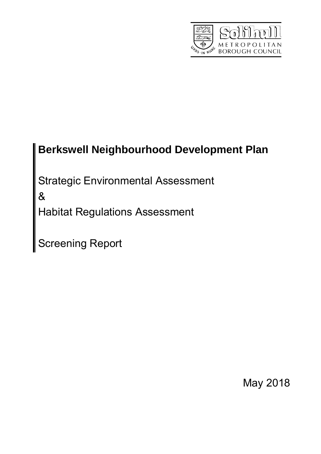

# **Berkswell Neighbourhood Development Plan**

Strategic Environmental Assessment

&

Habitat Regulations Assessment

Screening Report

May 2018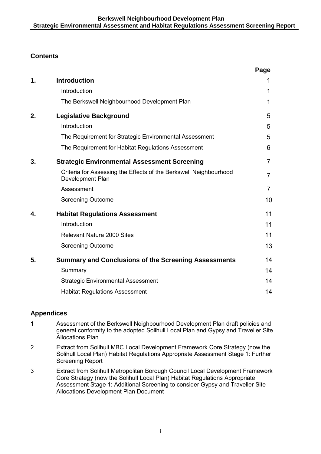# **Contents**

|    |                                                                                       | Page           |
|----|---------------------------------------------------------------------------------------|----------------|
| 1. | <b>Introduction</b>                                                                   | 1              |
|    | Introduction                                                                          | 1              |
|    | The Berkswell Neighbourhood Development Plan                                          | 1              |
| 2. | <b>Legislative Background</b>                                                         | 5              |
|    | Introduction                                                                          | 5              |
|    | The Requirement for Strategic Environmental Assessment                                | 5              |
|    | The Requirement for Habitat Regulations Assessment                                    | 6              |
| 3. | <b>Strategic Environmental Assessment Screening</b>                                   | $\overline{7}$ |
|    | Criteria for Assessing the Effects of the Berkswell Neighbourhood<br>Development Plan | $\overline{7}$ |
|    | Assessment                                                                            | $\overline{7}$ |
|    | <b>Screening Outcome</b>                                                              | 10             |
| 4. | <b>Habitat Regulations Assessment</b>                                                 | 11             |
|    | Introduction                                                                          | 11             |
|    | <b>Relevant Natura 2000 Sites</b>                                                     | 11             |
|    | <b>Screening Outcome</b>                                                              | 13             |
| 5. | <b>Summary and Conclusions of the Screening Assessments</b>                           | 14             |
|    | Summary                                                                               | 14             |
|    | <b>Strategic Environmental Assessment</b>                                             | 14             |
|    | <b>Habitat Regulations Assessment</b>                                                 | 14             |

### **Appendices**

- 1 Assessment of the Berkswell Neighbourhood Development Plan draft policies and general conformity to the adopted Solihull Local Plan and Gypsy and Traveller Site Allocations Plan
- 2 Extract from Solihull MBC Local Development Framework Core Strategy (now the Solihull Local Plan) Habitat Regulations Appropriate Assessment Stage 1: Further Screening Report
- 3 Extract from Solihull Metropolitan Borough Council Local Development Framework Core Strategy (now the Solihull Local Plan) Habitat Regulations Appropriate Assessment Stage 1: Additional Screening to consider Gypsy and Traveller Site Allocations Development Plan Document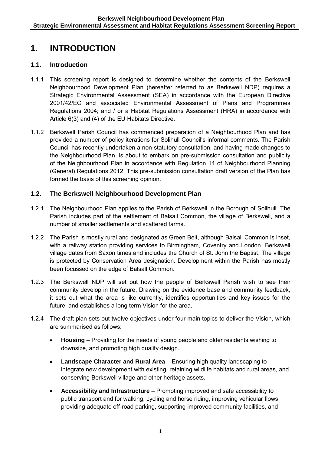# **1. INTRODUCTION**

### **1.1. Introduction**

- 1.1.1 This screening report is designed to determine whether the contents of the Berkswell Neighbourhood Development Plan (hereafter referred to as Berkswell NDP) requires a Strategic Environmental Assessment (SEA) in accordance with the European Directive 2001/42/EC and associated Environmental Assessment of Plans and Programmes Regulations 2004; and / or a Habitat Regulations Assessment (HRA) in accordance with Article 6(3) and (4) of the EU Habitats Directive.
- 1.1.2 Berkswell Parish Council has commenced preparation of a Neighbourhood Plan and has provided a number of policy iterations for Solihull Council's informal comments. The Parish Council has recently undertaken a non-statutory consultation, and having made changes to the Neighbourhood Plan, is about to embark on pre-submission consultation and publicity of the Neighbourhood Plan in accordance with Regulation 14 of Neighbourhood Planning (General) Regulations 2012. This pre-submission consultation draft version of the Plan has formed the basis of this screening opinion.

### **1.2. The Berkswell Neighbourhood Development Plan**

- 1.2.1 The Neighbourhood Plan applies to the Parish of Berkswell in the Borough of Solihull. The Parish includes part of the settlement of Balsall Common, the village of Berkswell, and a number of smaller settlements and scattered farms.
- 1.2.2 The Parish is mostly rural and designated as Green Belt, although Balsall Common is inset, with a railway station providing services to Birmingham, Coventry and London. Berkswell village dates from Saxon times and includes the Church of St. John the Baptist. The village is protected by Conservation Area designation. Development within the Parish has mostly been focussed on the edge of Balsall Common.
- 1.2.3 The Berkswell NDP will set out how the people of Berkswell Parish wish to see their community develop in the future. Drawing on the evidence base and community feedback, it sets out what the area is like currently, identifies opportunities and key issues for the future, and establishes a long term Vision for the area.
- 1.2.4 The draft plan sets out twelve objectives under four main topics to deliver the Vision, which are summarised as follows:
	- **Housing** Providing for the needs of young people and older residents wishing to downsize, and promoting high quality design.
	- **Landscape Character and Rural Area** Ensuring high quality landscaping to integrate new development with existing, retaining wildlife habitats and rural areas, and conserving Berkswell village and other heritage assets.
	- **Accessibility and Infrastructure** Promoting improved and safe accessibility to public transport and for walking, cycling and horse riding, improving vehicular flows, providing adequate off-road parking, supporting improved community facilities, and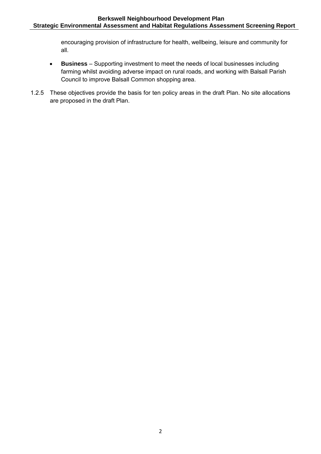encouraging provision of infrastructure for health, wellbeing, leisure and community for all.

- **Business** Supporting investment to meet the needs of local businesses including farming whilst avoiding adverse impact on rural roads, and working with Balsall Parish Council to improve Balsall Common shopping area.
- 1.2.5 These objectives provide the basis for ten policy areas in the draft Plan. No site allocations are proposed in the draft Plan.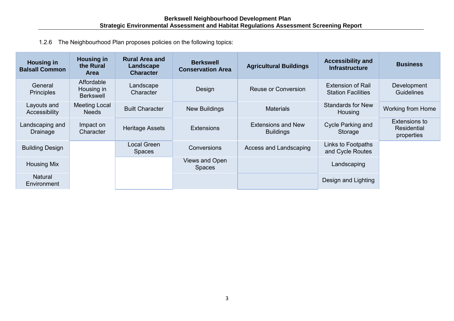1.2.6 The Neighbourhood Plan proposes policies on the following topics:

| <b>Housing in</b><br><b>Balsall Common</b> | <b>Housing in</b><br>the Rural<br><b>Area</b> | <b>Rural Area and</b><br>Landscape<br><b>Character</b> | <b>Berkswell</b><br><b>Conservation Area</b> | <b>Agricultural Buildings</b>                 | <b>Accessibility and</b><br><b>Infrastructure</b>     | <b>Business</b>                            |
|--------------------------------------------|-----------------------------------------------|--------------------------------------------------------|----------------------------------------------|-----------------------------------------------|-------------------------------------------------------|--------------------------------------------|
| General<br><b>Principles</b>               | Affordable<br>Housing in<br><b>Berkswell</b>  | Landscape<br>Character                                 | Design                                       | Reuse or Conversion                           | <b>Extension of Rail</b><br><b>Station Facilities</b> | Development<br><b>Guidelines</b>           |
| Layouts and<br>Accessibility               | Meeting Local<br>Needs                        | <b>Built Character</b>                                 | <b>New Buildings</b>                         | <b>Materials</b>                              | <b>Standards for New</b><br>Housing                   | <b>Working from Home</b>                   |
| Landscaping and<br>Drainage                | Impact on<br>Character                        | <b>Heritage Assets</b>                                 | <b>Extensions</b>                            | <b>Extensions and New</b><br><b>Buildings</b> | <b>Cycle Parking and</b><br>Storage                   | Extensions to<br>Residential<br>properties |
| <b>Building Design</b>                     |                                               | <b>Local Green</b><br><b>Spaces</b>                    | Conversions                                  | Access and Landscaping                        | Links to Footpaths<br>and Cycle Routes                |                                            |
| <b>Housing Mix</b>                         |                                               |                                                        | Views and Open<br><b>Spaces</b>              |                                               | Landscaping                                           |                                            |
| <b>Natural</b><br>Environment              |                                               |                                                        |                                              |                                               | Design and Lighting                                   |                                            |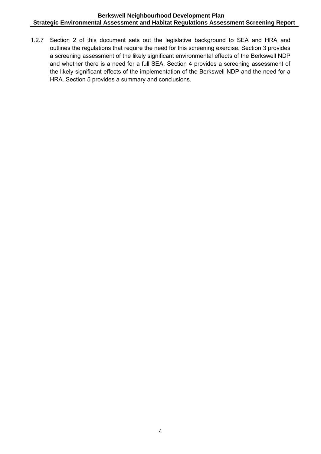1.2.7 Section 2 of this document sets out the legislative background to SEA and HRA and outlines the regulations that require the need for this screening exercise. Section 3 provides a screening assessment of the likely significant environmental effects of the Berkswell NDP and whether there is a need for a full SEA. Section 4 provides a screening assessment of the likely significant effects of the implementation of the Berkswell NDP and the need for a HRA. Section 5 provides a summary and conclusions.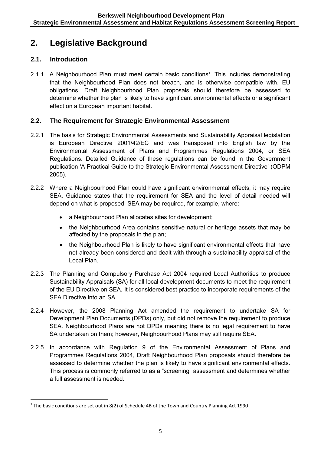# **2. Legislative Background**

### **2.1. Introduction**

**.** 

2.1.1 A Neighbourhood Plan must meet certain basic conditions<sup>1</sup>. This includes demonstrating that the Neighbourhood Plan does not breach, and is otherwise compatible with, EU obligations. Draft Neighbourhood Plan proposals should therefore be assessed to determine whether the plan is likely to have significant environmental effects or a significant effect on a European important habitat.

# **2.2. The Requirement for Strategic Environmental Assessment**

- 2.2.1 The basis for Strategic Environmental Assessments and Sustainability Appraisal legislation is European Directive 2001/42/EC and was transposed into English law by the Environmental Assessment of Plans and Programmes Regulations 2004, or SEA Regulations. Detailed Guidance of these regulations can be found in the Government publication 'A Practical Guide to the Strategic Environmental Assessment Directive' (ODPM 2005).
- 2.2.2 Where a Neighbourhood Plan could have significant environmental effects, it may require SEA. Guidance states that the requirement for SEA and the level of detail needed will depend on what is proposed. SEA may be required, for example, where:
	- a Neighbourhood Plan allocates sites for development;
	- the Neighbourhood Area contains sensitive natural or heritage assets that may be affected by the proposals in the plan;
	- the Neighbourhood Plan is likely to have significant environmental effects that have not already been considered and dealt with through a sustainability appraisal of the Local Plan.
- 2.2.3 The Planning and Compulsory Purchase Act 2004 required Local Authorities to produce Sustainability Appraisals (SA) for all local development documents to meet the requirement of the EU Directive on SEA. It is considered best practice to incorporate requirements of the SEA Directive into an SA.
- 2.2.4 However, the 2008 Planning Act amended the requirement to undertake SA for Development Plan Documents (DPDs) only, but did not remove the requirement to produce SEA. Neighbourhood Plans are not DPDs meaning there is no legal requirement to have SA undertaken on them; however, Neighbourhood Plans may still require SEA.
- 2.2.5 In accordance with Regulation 9 of the Environmental Assessment of Plans and Programmes Regulations 2004, Draft Neighbourhood Plan proposals should therefore be assessed to determine whether the plan is likely to have significant environmental effects. This process is commonly referred to as a "screening" assessment and determines whether a full assessment is needed.

<sup>&</sup>lt;sup>1</sup> The basic conditions are set out in 8(2) of Schedule 4B of the Town and Country Planning Act 1990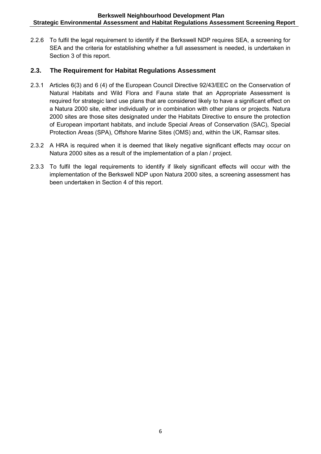2.2.6 To fulfil the legal requirement to identify if the Berkswell NDP requires SEA, a screening for SEA and the criteria for establishing whether a full assessment is needed, is undertaken in Section 3 of this report.

#### **2.3. The Requirement for Habitat Regulations Assessment**

- 2.3.1 Articles 6(3) and 6 (4) of the European Council Directive 92/43/EEC on the Conservation of Natural Habitats and Wild Flora and Fauna state that an Appropriate Assessment is required for strategic land use plans that are considered likely to have a significant effect on a Natura 2000 site, either individually or in combination with other plans or projects. Natura 2000 sites are those sites designated under the Habitats Directive to ensure the protection of European important habitats, and include Special Areas of Conservation (SAC), Special Protection Areas (SPA), Offshore Marine Sites (OMS) and, within the UK, Ramsar sites.
- 2.3.2 A HRA is required when it is deemed that likely negative significant effects may occur on Natura 2000 sites as a result of the implementation of a plan / project.
- 2.3.3 To fulfil the legal requirements to identify if likely significant effects will occur with the implementation of the Berkswell NDP upon Natura 2000 sites, a screening assessment has been undertaken in Section 4 of this report.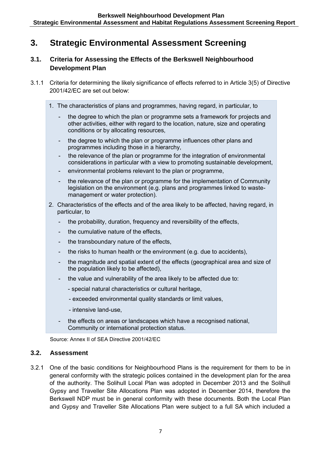# **3. Strategic Environmental Assessment Screening**

### **3.1. Criteria for Assessing the Effects of the Berkswell Neighbourhood Development Plan**

- 3.1.1 Criteria for determining the likely significance of effects referred to in Article 3(5) of Directive 2001/42/EC are set out below:
	- 1. The characteristics of plans and programmes, having regard, in particular, to
		- the degree to which the plan or programme sets a framework for projects and other activities, either with regard to the location, nature, size and operating conditions or by allocating resources,
		- the degree to which the plan or programme influences other plans and programmes including those in a hierarchy,
		- the relevance of the plan or programme for the integration of environmental considerations in particular with a view to promoting sustainable development,
		- environmental problems relevant to the plan or programme,
		- the relevance of the plan or programme for the implementation of Community legislation on the environment (e.g. plans and programmes linked to wastemanagement or water protection).
	- 2. Characteristics of the effects and of the area likely to be affected, having regard, in particular, to
		- the probability, duration, frequency and reversibility of the effects,
		- the cumulative nature of the effects.
		- the transboundary nature of the effects,
		- the risks to human health or the environment (e.g. due to accidents),
		- the magnitude and spatial extent of the effects (geographical area and size of the population likely to be affected),
		- the value and vulnerability of the area likely to be affected due to:
			- special natural characteristics or cultural heritage,
			- exceeded environmental quality standards or limit values,
			- intensive land-use,
		- the effects on areas or landscapes which have a recognised national. Community or international protection status.

Source: Annex II of SEA Directive 2001/42/EC

#### **3.2. Assessment**

3.2.1 One of the basic conditions for Neighbourhood Plans is the requirement for them to be in general conformity with the strategic polices contained in the development plan for the area of the authority. The Solihull Local Plan was adopted in December 2013 and the Solihull Gypsy and Traveller Site Allocations Plan was adopted in December 2014, therefore the Berkswell NDP must be in general conformity with these documents. Both the Local Plan and Gypsy and Traveller Site Allocations Plan were subject to a full SA which included a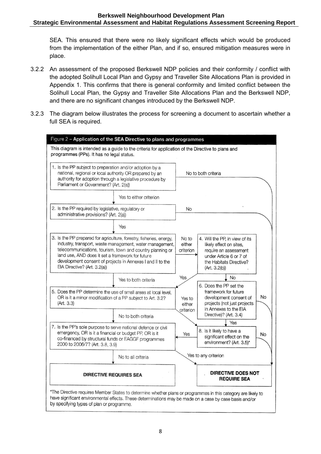SEA. This ensured that there were no likely significant effects which would be produced from the implementation of the either Plan, and if so, ensured mitigation measures were in place.

- 3.2.2 An assessment of the proposed Berkswell NDP policies and their conformity / conflict with the adopted Solihull Local Plan and Gypsy and Traveller Site Allocations Plan is provided in Appendix 1. This confirms that there is general conformity and limited conflict between the Solihull Local Plan, the Gypsy and Traveller Site Allocations Plan and the Berkswell NDP, and there are no significant changes introduced by the Berkswell NDP.
- 3.2.3 The diagram below illustrates the process for screening a document to ascertain whether a full SEA is required.

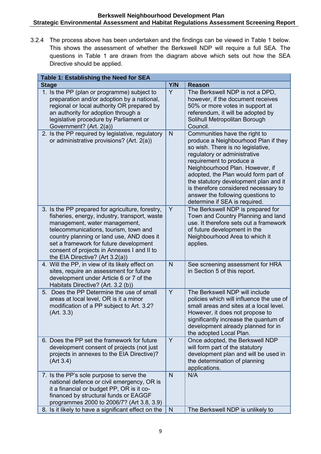3.2.4 The process above has been undertaken and the findings can be viewed in Table 1 below. This shows the assessment of whether the Berkswell NDP will require a full SEA. The questions in Table 1 are drawn from the diagram above which sets out how the SEA Directive should be applied.

| Table 1: Establishing the Need for SEA                                                                                                                                                                                                                                                                                                              |              |                                                                                                                                                                                                                                                                                                                                                                                                          |
|-----------------------------------------------------------------------------------------------------------------------------------------------------------------------------------------------------------------------------------------------------------------------------------------------------------------------------------------------------|--------------|----------------------------------------------------------------------------------------------------------------------------------------------------------------------------------------------------------------------------------------------------------------------------------------------------------------------------------------------------------------------------------------------------------|
| <b>Stage</b>                                                                                                                                                                                                                                                                                                                                        | Y/N          | <b>Reason</b>                                                                                                                                                                                                                                                                                                                                                                                            |
| 1. Is the PP (plan or programme) subject to<br>preparation and/or adoption by a national,<br>regional or local authority OR prepared by<br>an authority for adoption through a<br>legislative procedure by Parliament or<br>Government? (Art. 2(a))                                                                                                 | Y            | The Berkswell NDP is not a DPD,<br>however, if the document receives<br>50% or more votes in support at<br>referendum, it will be adopted by<br>Solihull Metropolitan Borough<br>Council.                                                                                                                                                                                                                |
| 2. Is the PP required by legislative, regulatory<br>or administrative provisions? (Art. 2(a))                                                                                                                                                                                                                                                       | $\mathsf{N}$ | Communities have the right to<br>produce a Neighbourhood Plan if they<br>so wish. There is no legislative,<br>regulatory or administrative<br>requirement to produce a<br>Neighbourhood Plan. However, if<br>adopted, the Plan would form part of<br>the statutory development plan and it<br>is therefore considered necessary to<br>answer the following questions to<br>determine if SEA is required. |
| 3. Is the PP prepared for agriculture, forestry,<br>fisheries, energy, industry, transport, waste<br>management, water management,<br>telecommunications, tourism, town and<br>country planning or land use, AND does it<br>set a framework for future development<br>consent of projects in Annexes I and II to<br>the EIA Directive? (Art 3.2(a)) | Y            | The Berkswell NDP is prepared for<br>Town and Country Planning and land<br>use. It therefore sets out a framework<br>of future development in the<br>Neighbourhood Area to which it<br>applies.                                                                                                                                                                                                          |
| 4. Will the PP, in view of its likely effect on<br>sites, require an assessment for future<br>development under Article 6 or 7 of the<br>Habitats Directive? (Art. 3.2 (b))                                                                                                                                                                         | N            | See screening assessment for HRA<br>in Section 5 of this report.                                                                                                                                                                                                                                                                                                                                         |
| 5. Does the PP Determine the use of small<br>areas at local level, OR is it a minor<br>modification of a PP subject to Art. 3.2?<br>(Art. 3.3)                                                                                                                                                                                                      | Y            | The Berkswell NDP will include<br>policies which will influence the use of<br>small areas and sites at a local level.<br>However, it does not propose to<br>significantly increase the quantum of<br>development already planned for in<br>the adopted Local Plan.                                                                                                                                       |
| 6. Does the PP set the framework for future<br>development consent of projects (not just<br>projects in annexes to the EIA Directive)?<br>(Art 3.4)                                                                                                                                                                                                 | Y            | Once adopted, the Berkswell NDP<br>will form part of the statutory<br>development plan and will be used in<br>the determination of planning<br>applications.                                                                                                                                                                                                                                             |
| 7. Is the PP's sole purpose to serve the<br>national defence or civil emergency, OR is<br>it a financial or budget PP, OR is it co-<br>financed by structural funds or EAGGF<br>programmes 2000 to 2006/7? (Art 3.8, 3.9)                                                                                                                           | N            | N/A                                                                                                                                                                                                                                                                                                                                                                                                      |
| 8. Is it likely to have a significant effect on the                                                                                                                                                                                                                                                                                                 | N            | The Berkswell NDP is unlikely to                                                                                                                                                                                                                                                                                                                                                                         |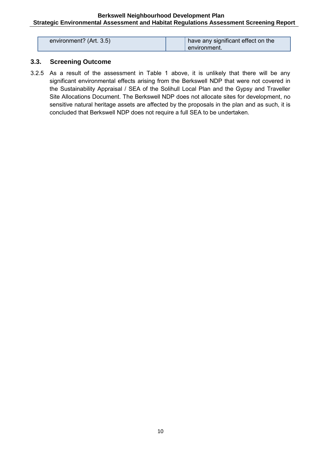| environment? (Art. 3.5) | have any significant effect on the |
|-------------------------|------------------------------------|
|                         | environment.                       |

#### **3.3. Screening Outcome**

3.2.5 As a result of the assessment in Table 1 above, it is unlikely that there will be any significant environmental effects arising from the Berkswell NDP that were not covered in the Sustainability Appraisal / SEA of the Solihull Local Plan and the Gypsy and Traveller Site Allocations Document. The Berkswell NDP does not allocate sites for development, no sensitive natural heritage assets are affected by the proposals in the plan and as such, it is concluded that Berkswell NDP does not require a full SEA to be undertaken.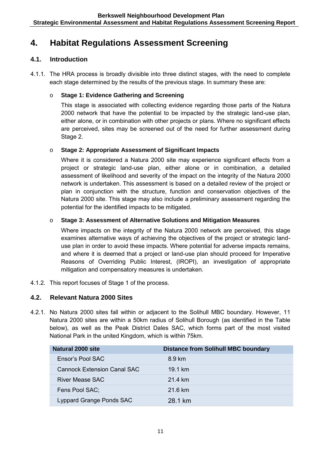# **4. Habitat Regulations Assessment Screening**

#### **4.1. Introduction**

4.1.1. The HRA process is broadly divisible into three distinct stages, with the need to complete each stage determined by the results of the previous stage. In summary these are:

#### o **Stage 1: Evidence Gathering and Screening**

This stage is associated with collecting evidence regarding those parts of the Natura 2000 network that have the potential to be impacted by the strategic land-use plan, either alone, or in combination with other projects or plans. Where no significant effects are perceived, sites may be screened out of the need for further assessment during Stage 2.

#### o **Stage 2: Appropriate Assessment of Significant Impacts**

Where it is considered a Natura 2000 site may experience significant effects from a project or strategic land-use plan, either alone or in combination, a detailed assessment of likelihood and severity of the impact on the integrity of the Natura 2000 network is undertaken. This assessment is based on a detailed review of the project or plan in conjunction with the structure, function and conservation objectives of the Natura 2000 site. This stage may also include a preliminary assessment regarding the potential for the identified impacts to be mitigated.

#### o **Stage 3: Assessment of Alternative Solutions and Mitigation Measures**

Where impacts on the integrity of the Natura 2000 network are perceived, this stage examines alternative ways of achieving the objectives of the project or strategic landuse plan in order to avoid these impacts. Where potential for adverse impacts remains, and where it is deemed that a project or land-use plan should proceed for Imperative Reasons of Overriding Public Interest, (IROPI), an investigation of appropriate mitigation and compensatory measures is undertaken.

4.1.2. This report focuses of Stage 1 of the process.

#### **4.2. Relevant Natura 2000 Sites**

4.2.1. No Natura 2000 sites fall within or adjacent to the Solihull MBC boundary. However, 11 Natura 2000 sites are within a 50km radius of Solihull Borough (as identified in the Table below), as well as the Peak District Dales SAC, which forms part of the most visited National Park in the united Kingdom, which is within 75km.

| Natural 2000 site                  | <b>Distance from Solihull MBC boundary</b> |
|------------------------------------|--------------------------------------------|
| Ensor's Pool SAC                   | 8.9 km                                     |
| <b>Cannock Extension Canal SAC</b> | 19.1 km                                    |
| River Mease SAC                    | 21.4 km                                    |
| Fens Pool SAC;                     | $21.6 \text{ km}$                          |
| Lyppard Grange Ponds SAC           | 28 1 km                                    |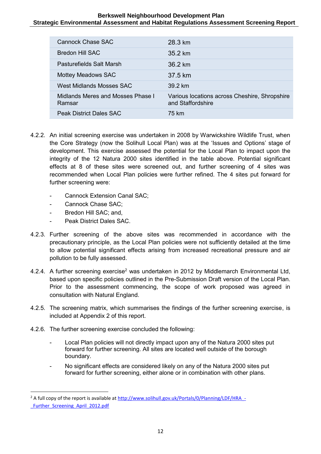| Cannock Chase SAC                           | 28.3 km                                                            |
|---------------------------------------------|--------------------------------------------------------------------|
| Bredon Hill SAC                             | $35.2 \text{ km}$                                                  |
| Pasturefields Salt Marsh                    | 36.2 km                                                            |
| <b>Mottey Meadows SAC</b>                   | 37.5 km                                                            |
| West Midlands Mosses SAC                    | 39 2 km                                                            |
| Midlands Meres and Mosses Phase I<br>Ramsar | Various locations across Cheshire, Shropshire<br>and Staffordshire |
| <b>Peak District Dales SAC</b>              | 75 km                                                              |

- 4.2.2. An initial screening exercise was undertaken in 2008 by Warwickshire Wildlife Trust, when the Core Strategy (now the Solihull Local Plan) was at the 'Issues and Options' stage of development. This exercise assessed the potential for the Local Plan to impact upon the integrity of the 12 Natura 2000 sites identified in the table above. Potential significant effects at 8 of these sites were screened out, and further screening of 4 sites was recommended when Local Plan policies were further refined. The 4 sites put forward for further screening were:
	- Cannock Extension Canal SAC;
	- Cannock Chase SAC;
	- Bredon Hill SAC; and,

1

- Peak District Dales SAC.
- 4.2.3. Further screening of the above sites was recommended in accordance with the precautionary principle, as the Local Plan policies were not sufficiently detailed at the time to allow potential significant effects arising from increased recreational pressure and air pollution to be fully assessed.
- 4.2.4. A further screening exercise<sup>2</sup> was undertaken in 2012 by Middlemarch Environmental Ltd, based upon specific policies outlined in the Pre-Submission Draft version of the Local Plan. Prior to the assessment commencing, the scope of work proposed was agreed in consultation with Natural England.
- 4.2.5. The screening matrix, which summarises the findings of the further screening exercise, is included at Appendix 2 of this report.
- 4.2.6. The further screening exercise concluded the following:
	- Local Plan policies will not directly impact upon any of the Natura 2000 sites put forward for further screening. All sites are located well outside of the borough boundary.
	- No significant effects are considered likely on any of the Natura 2000 sites put forward for further screening, either alone or in combination with other plans.

<sup>&</sup>lt;sup>2</sup> A full copy of the report is available at http://www.solihull.gov.uk/Portals/0/Planning/LDF/HRA -Further Screening April 2012.pdf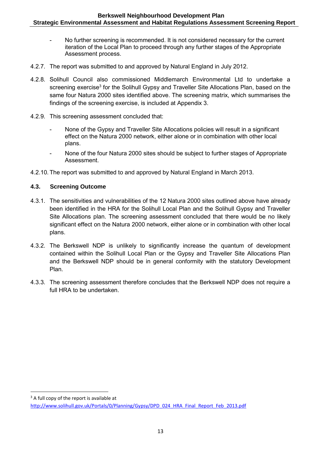- No further screening is recommended. It is not considered necessary for the current iteration of the Local Plan to proceed through any further stages of the Appropriate Assessment process.
- 4.2.7. The report was submitted to and approved by Natural England in July 2012.
- 4.2.8. Solihull Council also commissioned Middlemarch Environmental Ltd to undertake a screening exercise $^3$  for the Solihull Gypsy and Traveller Site Allocations Plan, based on the same four Natura 2000 sites identified above. The screening matrix, which summarises the findings of the screening exercise, is included at Appendix 3.
- 4.2.9. This screening assessment concluded that:
	- None of the Gypsy and Traveller Site Allocations policies will result in a significant effect on the Natura 2000 network, either alone or in combination with other local plans.
	- None of the four Natura 2000 sites should be subject to further stages of Appropriate Assessment.
- 4.2.10. The report was submitted to and approved by Natural England in March 2013.

#### **4.3. Screening Outcome**

- 4.3.1. The sensitivities and vulnerabilities of the 12 Natura 2000 sites outlined above have already been identified in the HRA for the Solihull Local Plan and the Solihull Gypsy and Traveller Site Allocations plan. The screening assessment concluded that there would be no likely significant effect on the Natura 2000 network, either alone or in combination with other local plans.
- 4.3.2. The Berkswell NDP is unlikely to significantly increase the quantum of development contained within the Solihull Local Plan or the Gypsy and Traveller Site Allocations Plan and the Berkswell NDP should be in general conformity with the statutory Development Plan.
- 4.3.3. The screening assessment therefore concludes that the Berkswell NDP does not require a full HRA to be undertaken.

<sup>1</sup> <sup>3</sup> A full copy of the report is available at

[http://www.solihull.gov.uk/Portals/0/Planning/Gypsy/DPD\\_024\\_HRA\\_Final\\_Report\\_Feb\\_2013.pdf](http://www.solihull.gov.uk/Portals/0/Planning/Gypsy/DPD_024_HRA_Final_Report_Feb_2013.pdf)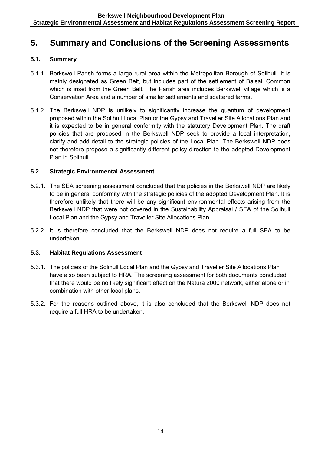# **5. Summary and Conclusions of the Screening Assessments**

#### **5.1. Summary**

- 5.1.1. Berkswell Parish forms a large rural area within the Metropolitan Borough of Solihull. It is mainly designated as Green Belt, but includes part of the settlement of Balsall Common which is inset from the Green Belt. The Parish area includes Berkswell village which is a Conservation Area and a number of smaller settlements and scattered farms.
- 5.1.2. The Berkswell NDP is unlikely to significantly increase the quantum of development proposed within the Solihull Local Plan or the Gypsy and Traveller Site Allocations Plan and it is expected to be in general conformity with the statutory Development Plan. The draft policies that are proposed in the Berkswell NDP seek to provide a local interpretation, clarify and add detail to the strategic policies of the Local Plan. The Berkswell NDP does not therefore propose a significantly different policy direction to the adopted Development Plan in Solihull.

#### **5.2. Strategic Environmental Assessment**

- 5.2.1. The SEA screening assessment concluded that the policies in the Berkswell NDP are likely to be in general conformity with the strategic policies of the adopted Development Plan. It is therefore unlikely that there will be any significant environmental effects arising from the Berkswell NDP that were not covered in the Sustainability Appraisal / SEA of the Solihull Local Plan and the Gypsy and Traveller Site Allocations Plan.
- 5.2.2. It is therefore concluded that the Berkswell NDP does not require a full SEA to be undertaken.

#### **5.3. Habitat Regulations Assessment**

- 5.3.1. The policies of the Solihull Local Plan and the Gypsy and Traveller Site Allocations Plan have also been subject to HRA. The screening assessment for both documents concluded that there would be no likely significant effect on the Natura 2000 network, either alone or in combination with other local plans.
- 5.3.2. For the reasons outlined above, it is also concluded that the Berkswell NDP does not require a full HRA to be undertaken.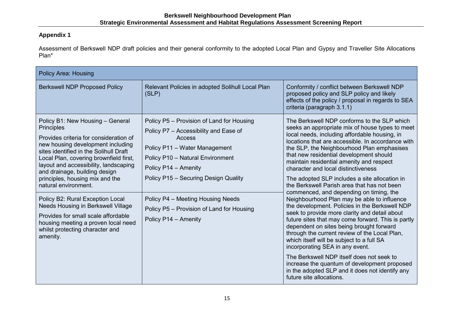#### **Appendix 1**

Assessment of Berkswell NDP draft policies and their general conformity to the adopted Local Plan and Gypsy and Traveller Site Allocations Plan\*

| <b>Policy Area: Housing</b>                                                                                                                                                                                                                                                                                                                                                                                                                                                                                                                                   |                                                                                                                                                                                                                                                                                                                                             |                                                                                                                                                                                                                                                                                                                                                                                                                                                                                                                                                                                                                                                                                                                                                                                                                                                                                                                                                                                                                                                                                              |  |  |  |  |
|---------------------------------------------------------------------------------------------------------------------------------------------------------------------------------------------------------------------------------------------------------------------------------------------------------------------------------------------------------------------------------------------------------------------------------------------------------------------------------------------------------------------------------------------------------------|---------------------------------------------------------------------------------------------------------------------------------------------------------------------------------------------------------------------------------------------------------------------------------------------------------------------------------------------|----------------------------------------------------------------------------------------------------------------------------------------------------------------------------------------------------------------------------------------------------------------------------------------------------------------------------------------------------------------------------------------------------------------------------------------------------------------------------------------------------------------------------------------------------------------------------------------------------------------------------------------------------------------------------------------------------------------------------------------------------------------------------------------------------------------------------------------------------------------------------------------------------------------------------------------------------------------------------------------------------------------------------------------------------------------------------------------------|--|--|--|--|
| <b>Berkswell NDP Proposed Policy</b>                                                                                                                                                                                                                                                                                                                                                                                                                                                                                                                          | Relevant Policies in adopted Solihull Local Plan<br>(SLP)                                                                                                                                                                                                                                                                                   | Conformity / conflict between Berkswell NDP<br>proposed policy and SLP policy and likely<br>effects of the policy / proposal in regards to SEA<br>criteria (paragraph 3.1.1)                                                                                                                                                                                                                                                                                                                                                                                                                                                                                                                                                                                                                                                                                                                                                                                                                                                                                                                 |  |  |  |  |
| Policy B1: New Housing - General<br>Principles<br>Provides criteria for consideration of<br>new housing development including<br>sites identified in the Solihull Draft<br>Local Plan, covering brownfield first,<br>layout and accessibility, landscaping<br>and drainage, building design<br>principles, housing mix and the<br>natural environment.<br>Policy B2: Rural Exception Local<br>Needs Housing in Berkswell Village<br>Provides for small scale affordable<br>housing meeting a proven local need<br>whilst protecting character and<br>amenity. | Policy P5 - Provision of Land for Housing<br>Policy P7 - Accessibility and Ease of<br>Access<br>Policy P11 - Water Management<br>Policy P10 - Natural Environment<br>Policy P14 - Amenity<br>Policy P15 - Securing Design Quality<br>Policy P4 - Meeting Housing Needs<br>Policy P5 - Provision of Land for Housing<br>Policy P14 - Amenity | The Berkswell NDP conforms to the SLP which<br>seeks an appropriate mix of house types to meet<br>local needs, including affordable housing, in<br>locations that are accessible. In accordance with<br>the SLP, the Neighbourhood Plan emphasises<br>that new residential development should<br>maintain residential amenity and respect<br>character and local distinctiveness<br>The adopted SLP includes a site allocation in<br>the Berkswell Parish area that has not been<br>commenced, and depending on timing, the<br>Neighbourhood Plan may be able to influence<br>the development. Policies in the Berkswell NDP<br>seek to provide more clarity and detail about<br>future sites that may come forward. This is partly<br>dependent on sites being brought forward<br>through the current review of the Local Plan,<br>which itself will be subject to a full SA<br>incorporating SEA in any event.<br>The Berkswell NDP itself does not seek to<br>increase the quantum of development proposed<br>in the adopted SLP and it does not identify any<br>future site allocations. |  |  |  |  |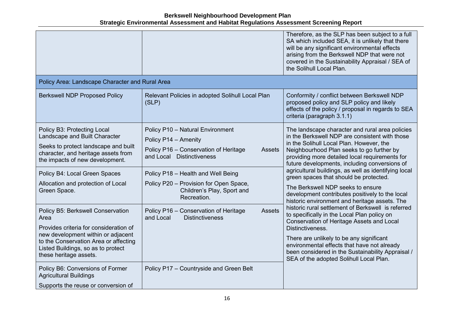|                                                                                                                                                                                                                                                                                                                                                                                                                                                                                                             |                                                                                                                                                                                                                                                                                                                                                                               | Therefore, as the SLP has been subject to a full<br>SA which included SEA, it is unlikely that there<br>will be any significant environmental effects<br>arising from the Berkswell NDP that were not<br>covered in the Sustainability Appraisal / SEA of<br>the Solihull Local Plan.                                                                                                                                                                                                                                                                                                                                                                                                                                                                                                                                                                                                                     |
|-------------------------------------------------------------------------------------------------------------------------------------------------------------------------------------------------------------------------------------------------------------------------------------------------------------------------------------------------------------------------------------------------------------------------------------------------------------------------------------------------------------|-------------------------------------------------------------------------------------------------------------------------------------------------------------------------------------------------------------------------------------------------------------------------------------------------------------------------------------------------------------------------------|-----------------------------------------------------------------------------------------------------------------------------------------------------------------------------------------------------------------------------------------------------------------------------------------------------------------------------------------------------------------------------------------------------------------------------------------------------------------------------------------------------------------------------------------------------------------------------------------------------------------------------------------------------------------------------------------------------------------------------------------------------------------------------------------------------------------------------------------------------------------------------------------------------------|
| Policy Area: Landscape Character and Rural Area                                                                                                                                                                                                                                                                                                                                                                                                                                                             |                                                                                                                                                                                                                                                                                                                                                                               |                                                                                                                                                                                                                                                                                                                                                                                                                                                                                                                                                                                                                                                                                                                                                                                                                                                                                                           |
| <b>Berkswell NDP Proposed Policy</b>                                                                                                                                                                                                                                                                                                                                                                                                                                                                        | Relevant Policies in adopted Solihull Local Plan<br>(SLP)                                                                                                                                                                                                                                                                                                                     | Conformity / conflict between Berkswell NDP<br>proposed policy and SLP policy and likely<br>effects of the policy / proposal in regards to SEA<br>criteria (paragraph 3.1.1)                                                                                                                                                                                                                                                                                                                                                                                                                                                                                                                                                                                                                                                                                                                              |
| Policy B3: Protecting Local<br>Landscape and Built Character<br>Seeks to protect landscape and built<br>character, and heritage assets from<br>the impacts of new development.<br>Policy B4: Local Green Spaces<br>Allocation and protection of Local<br>Green Space.<br>Policy B5: Berkswell Conservation<br>Area<br>Provides criteria for consideration of<br>new development within or adjacent<br>to the Conservation Area or affecting<br>Listed Buildings, so as to protect<br>these heritage assets. | Policy P10 - Natural Environment<br>Policy P14 - Amenity<br>Policy P16 - Conservation of Heritage<br><b>Assets</b><br>and Local Distinctiveness<br>Policy P18 - Health and Well Being<br>Policy P20 - Provision for Open Space,<br>Children's Play, Sport and<br>Recreation.<br><b>Assets</b><br>Policy P16 - Conservation of Heritage<br>and Local<br><b>Distinctiveness</b> | The landscape character and rural area policies<br>in the Berkswell NDP are consistent with those<br>in the Solihull Local Plan. However, the<br>Neighbourhood Plan seeks to go further by<br>providing more detailed local requirements for<br>future developments, including conversions of<br>agricultural buildings, as well as identifying local<br>green spaces that should be protected.<br>The Berkswell NDP seeks to ensure<br>development contributes positively to the local<br>historic environment and heritage assets. The<br>historic rural settlement of Berkswell is referred<br>to specifically in the Local Plan policy on<br>Conservation of Heritage Assets and Local<br>Distinctiveness.<br>There are unlikely to be any significant<br>environmental effects that have not already<br>been considered in the Sustainability Appraisal /<br>SEA of the adopted Solihull Local Plan. |
| Policy B6: Conversions of Former<br><b>Agricultural Buildings</b><br>Supports the reuse or conversion of                                                                                                                                                                                                                                                                                                                                                                                                    | Policy P17 - Countryside and Green Belt                                                                                                                                                                                                                                                                                                                                       |                                                                                                                                                                                                                                                                                                                                                                                                                                                                                                                                                                                                                                                                                                                                                                                                                                                                                                           |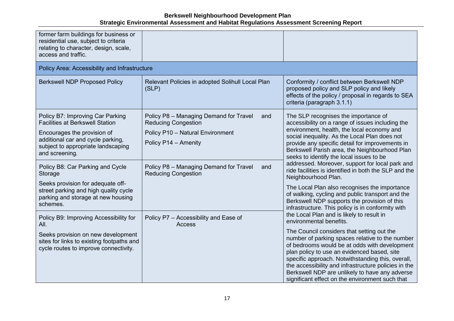| former farm buildings for business or<br>residential use, subject to criteria<br>relating to character, design, scale,<br>access and traffic.                                                                                                                                                                                                                                         |                                                                                                                                                                                                                        |                                                                                                                                                                                                                                                                                                                                                                                                                                                                                                                                                                                                                                                                                      |
|---------------------------------------------------------------------------------------------------------------------------------------------------------------------------------------------------------------------------------------------------------------------------------------------------------------------------------------------------------------------------------------|------------------------------------------------------------------------------------------------------------------------------------------------------------------------------------------------------------------------|--------------------------------------------------------------------------------------------------------------------------------------------------------------------------------------------------------------------------------------------------------------------------------------------------------------------------------------------------------------------------------------------------------------------------------------------------------------------------------------------------------------------------------------------------------------------------------------------------------------------------------------------------------------------------------------|
| Policy Area: Accessibility and Infrastructure                                                                                                                                                                                                                                                                                                                                         |                                                                                                                                                                                                                        |                                                                                                                                                                                                                                                                                                                                                                                                                                                                                                                                                                                                                                                                                      |
| <b>Berkswell NDP Proposed Policy</b>                                                                                                                                                                                                                                                                                                                                                  | Relevant Policies in adopted Solihull Local Plan<br>(SLP)                                                                                                                                                              | Conformity / conflict between Berkswell NDP<br>proposed policy and SLP policy and likely<br>effects of the policy / proposal in regards to SEA<br>criteria (paragraph 3.1.1)                                                                                                                                                                                                                                                                                                                                                                                                                                                                                                         |
| Policy B7: Improving Car Parking<br><b>Facilities at Berkswell Station</b><br>Encourages the provision of<br>additional car and cycle parking,<br>subject to appropriate landscaping<br>and screening.<br>Policy B8: Car Parking and Cycle<br>Storage<br>Seeks provision for adequate off-<br>street parking and high quality cycle<br>parking and storage at new housing<br>schemes. | Policy P8 - Managing Demand for Travel<br>and<br><b>Reducing Congestion</b><br>Policy P10 - Natural Environment<br>Policy P14 - Amenity<br>Policy P8 - Managing Demand for Travel<br>and<br><b>Reducing Congestion</b> | The SLP recognises the importance of<br>accessibility on a range of issues including the<br>environment, health, the local economy and<br>social inequality. As the Local Plan does not<br>provide any specific detail for improvements in<br>Berkswell Parish area, the Neighbourhood Plan<br>seeks to identify the local issues to be<br>addressed. Moreover, support for local park and<br>ride facilities is identified in both the SLP and the<br>Neighbourhood Plan.<br>The Local Plan also recognises the importance<br>of walking, cycling and public transport and the<br>Berkswell NDP supports the provision of this<br>infrastructure. This policy is in conformity with |
| Policy B9: Improving Accessibility for<br>All.<br>Seeks provision on new development<br>sites for links to existing footpaths and<br>cycle routes to improve connectivity.                                                                                                                                                                                                            | Policy P7 - Accessibility and Ease of<br><b>Access</b>                                                                                                                                                                 | the Local Plan and is likely to result in<br>environmental benefits.<br>The Council considers that setting out the<br>number of parking spaces relative to the number<br>of bedrooms would be at odds with development<br>plan policy to use an evidenced based, site<br>specific approach. Notwithstanding this, overall,<br>the accessibility and infrastructure policies in the<br>Berkswell NDP are unlikely to have any adverse<br>significant effect on the environment such that                                                                                                                                                                                              |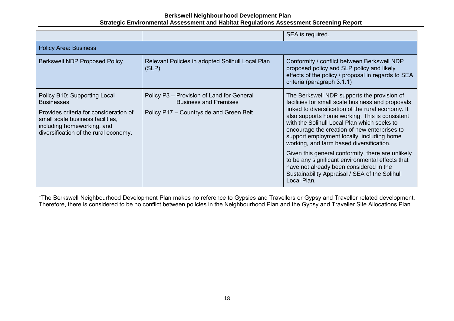|                                                                                                                                                                                                        |                                                                                                                      | SEA is required.                                                                                                                                                                                                                                                                                                                                                                                                                                                                                                                                                                                                       |
|--------------------------------------------------------------------------------------------------------------------------------------------------------------------------------------------------------|----------------------------------------------------------------------------------------------------------------------|------------------------------------------------------------------------------------------------------------------------------------------------------------------------------------------------------------------------------------------------------------------------------------------------------------------------------------------------------------------------------------------------------------------------------------------------------------------------------------------------------------------------------------------------------------------------------------------------------------------------|
| <b>Policy Area: Business</b>                                                                                                                                                                           |                                                                                                                      |                                                                                                                                                                                                                                                                                                                                                                                                                                                                                                                                                                                                                        |
| <b>Berkswell NDP Proposed Policy</b>                                                                                                                                                                   | Relevant Policies in adopted Solihull Local Plan<br>(SLP)                                                            | Conformity / conflict between Berkswell NDP<br>proposed policy and SLP policy and likely<br>effects of the policy / proposal in regards to SEA<br>criteria (paragraph 3.1.1)                                                                                                                                                                                                                                                                                                                                                                                                                                           |
| Policy B10: Supporting Local<br><b>Businesses</b><br>Provides criteria for consideration of<br>small scale business facilities,<br>including homeworking, and<br>diversification of the rural economy. | Policy P3 - Provision of Land for General<br><b>Business and Premises</b><br>Policy P17 – Countryside and Green Belt | The Berkswell NDP supports the provision of<br>facilities for small scale business and proposals<br>linked to diversification of the rural economy. It<br>also supports home working. This is consistent<br>with the Solihull Local Plan which seeks to<br>encourage the creation of new enterprises to<br>support employment locally, including home<br>working, and farm based diversification.<br>Given this general conformity, there are unlikely<br>to be any significant environmental effects that<br>have not already been considered in the<br>Sustainability Appraisal / SEA of the Solihull<br>Local Plan. |

\*The Berkswell Neighbourhood Development Plan makes no reference to Gypsies and Travellers or Gypsy and Traveller related development. Therefore, there is considered to be no conflict between policies in the Neighbourhood Plan and the Gypsy and Traveller Site Allocations Plan.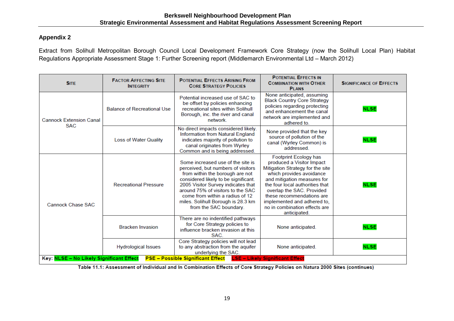#### **Appendix 2**

Extract from Solihull Metropolitan Borough Council Local Development Framework Core Strategy (now the Solihull Local Plan) Habitat Regulations Appropriate Assessment Stage 1: Further Screening report (Middlemarch Environmental Ltd – March 2012)

|                                              |                                    |                                                                                                                                                                                                                                                                                                                                  | <b>PLANS</b>                                                                                                                                                                                                                                                                                                                   | <b>SIGNIFICANCE OF EFFECTS</b> |
|----------------------------------------------|------------------------------------|----------------------------------------------------------------------------------------------------------------------------------------------------------------------------------------------------------------------------------------------------------------------------------------------------------------------------------|--------------------------------------------------------------------------------------------------------------------------------------------------------------------------------------------------------------------------------------------------------------------------------------------------------------------------------|--------------------------------|
| <b>Cannock Extension Canal</b><br><b>SAC</b> | <b>Balance of Recreational Use</b> | Potential increased use of SAC to<br>be offset by policies enhancing<br>recreational sites within Solihull<br>Borough, inc. the river and canal<br>network.                                                                                                                                                                      | None anticipated, assuming<br><b>Black Country Core Strategy</b><br>policies regarding protecting<br>and enhancement the canal<br>network are implemented and<br>adhered to.                                                                                                                                                   | <b>NLSE</b>                    |
|                                              | <b>Loss of Water Quality</b>       | No direct impacts considered likely.<br>Information from Natural England<br>indicates majority of pollution to<br>canal originates from Wyrley<br>Common and is being addressed.                                                                                                                                                 | None provided that the key<br>source of pollution of the<br>canal (Wyrley Common) is<br>addressed.                                                                                                                                                                                                                             | <b>NLSE</b>                    |
| <b>Cannock Chase SAC</b>                     | <b>Recreational Pressure</b>       | Some increased use of the site is<br>perceived, but numbers of visitors<br>from within the borough are not<br>considered likely to be significant.<br>2005 Visitor Survey indicates that<br>around 75% of visitors to the SAC<br>come from within a radius of 12<br>miles. Solihull Borough is 28.3 km<br>from the SAC boundary. | Footprint Ecology has<br>produced a Visitor Impact<br>Mitigation Strategy for the site<br>which provides avoidance<br>and mitigation measures for<br>the four local authorities that<br>overlap the SAC. Provided<br>these recommendations are<br>implemented and adhered to,<br>no in combination effects are<br>anticipated. | <b>NLSE</b>                    |
|                                              | <b>Bracken Invasion</b>            | There are no indentified pathways<br>for Core Strategy policies to<br>influence bracken invasion at this<br>SAC.                                                                                                                                                                                                                 | None anticipated.                                                                                                                                                                                                                                                                                                              | <b>NLSE</b>                    |
| Key: NLSE - No Likely Significant Effect     | <b>Hydrological Issues</b>         | Core Strategy policies will not lead<br>to any abstraction from the aquifer<br>underlying the SAC.<br><b>PSE - Possible Significant Effect</b>                                                                                                                                                                                   | None anticipated.<br><b>LSE - Likely Significant Effect</b>                                                                                                                                                                                                                                                                    | <b>NLSE</b>                    |

Table 11.1: Assessment of Individual and In Combination Effects of Core Strategy Policies on Natura 2000 Sites (continues)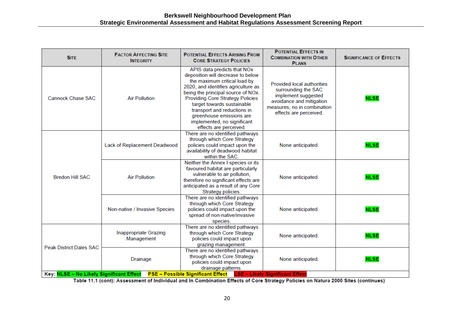| <b>SITE</b>                                                                                                   | <b>FACTOR AFFECTING SITE</b><br><b>INTEGRITY</b> | <b>POTENTIAL EFFECTS ARISING FROM</b><br><b>CORE STRATEGY POLICIES</b>                                                                                                                                                                                                                                                                                                     | <b>POTENTIAL EFFECTS IN</b><br><b>COMBINATION WITH OTHER</b><br><b>PLANS</b>                                                                                  | <b>SIGNIFICANCE OF EFFECTS</b> |  |
|---------------------------------------------------------------------------------------------------------------|--------------------------------------------------|----------------------------------------------------------------------------------------------------------------------------------------------------------------------------------------------------------------------------------------------------------------------------------------------------------------------------------------------------------------------------|---------------------------------------------------------------------------------------------------------------------------------------------------------------|--------------------------------|--|
| <b>Cannock Chase SAC</b>                                                                                      | <b>Air Pollution</b>                             | APIS data predicts that NOx<br>deposition will decrease to below<br>the maximum critical load by<br>2020, and identifies agriculture as<br>being the principal source of NOx.<br><b>Providing Core Strategy Policies</b><br>target towards sustainable<br>transport and reductions in<br>greenhouse emissions are<br>implemented, no significant<br>effects are perceived. | Provided local authorities<br>surrounding the SAC<br>implement suggested<br>avoidance and mitigation<br>measures, no in combination<br>effects are perceived. | <b>NLSE</b>                    |  |
|                                                                                                               | Lack of Replacement Deadwood                     | There are no identified pathways<br>through which Core Strategy<br>policies could impact upon the<br>availability of deadwood habitat<br>within the SAC.                                                                                                                                                                                                                   | None anticipated.                                                                                                                                             | <b>NLSE</b>                    |  |
| <b>Bredon Hill SAC</b>                                                                                        | <b>Air Pollution</b>                             | Neither the Annex I species or its<br>favoured habitat are particularly<br>vulnerable to air pollution,<br>therefore no significant effects are<br>anticipated as a result of any Core<br>Strategy policies.                                                                                                                                                               | None anticipated.                                                                                                                                             | <b>NLSE</b>                    |  |
|                                                                                                               | Non-native / Invasive Species                    | There are no identified pathways<br>through which Core Strategy<br>policies could impact upon the<br>spread of non-native/invasive<br>species.                                                                                                                                                                                                                             | None anticipated.                                                                                                                                             | <b>NLSE</b>                    |  |
| <b>Peak District Dales SAC</b>                                                                                | <b>Inappropriate Grazing</b><br>Management       | There are no identified pathways<br>through which Core Strategy<br>policies could impact upon<br>grazing management.                                                                                                                                                                                                                                                       | None anticipated.                                                                                                                                             | <b>NLSE</b>                    |  |
|                                                                                                               | <b>Drainage</b>                                  | There are no identified pathways<br>through which Core Strategy<br>policies could impact upon<br>drainage patterns.                                                                                                                                                                                                                                                        | None anticipated.                                                                                                                                             | <b>NLSE</b>                    |  |
| PSE - Possible Significant Effect LSE - Likely Significant Effect<br>Key: NLSE - No Likely Significant Effect |                                                  |                                                                                                                                                                                                                                                                                                                                                                            |                                                                                                                                                               |                                |  |

Table 11.1 (cont): Assessment of Individual and In Combination Effects of Core Strategy Policies on Natura 2000 Sites (continues)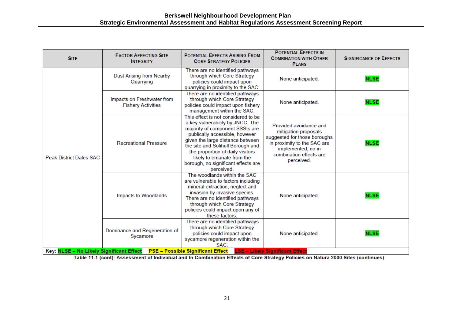| <b>SITE</b>                                                                | <b>FACTOR AFFECTING SITE</b><br><b>INTEGRITY</b>        | <b>POTENTIAL EFFECTS ARISING FROM</b><br><b>CORE STRATEGY POLICIES</b>                                                                                                                                                                                                                                                                       | <b>POTENTIAL EFFECTS IN</b><br><b>COMBINATION WITH OTHER</b><br><b>PLANS</b>                                                                                                 | <b>SIGNIFICANCE OF EFFECTS</b> |
|----------------------------------------------------------------------------|---------------------------------------------------------|----------------------------------------------------------------------------------------------------------------------------------------------------------------------------------------------------------------------------------------------------------------------------------------------------------------------------------------------|------------------------------------------------------------------------------------------------------------------------------------------------------------------------------|--------------------------------|
| <b>Peak District Dales SAC</b><br>Key: NLSE - No Likely Significant Effect | <b>Dust Arising from Nearby</b><br>Quarrying            | There are no identified pathways<br>through which Core Strategy<br>policies could impact upon<br>quarrying in proximity to the SAC.                                                                                                                                                                                                          | None anticipated.                                                                                                                                                            | <b>NLSE</b>                    |
|                                                                            | Impacts on Freshwater from<br><b>Fishery Activities</b> | There are no identified pathways<br>through which Core Strategy<br>policies could impact upon fishery<br>management within the SAC.                                                                                                                                                                                                          | None anticipated.                                                                                                                                                            | <b>NLSE</b>                    |
|                                                                            | <b>Recreational Pressure</b>                            | This effect is not considered to be<br>a key vulnerability by JNCC. The<br>majority of component SSSIs are<br>publically accessible, however<br>given the large distance between<br>the site and Solihull Borough and<br>the proportion of daily visitors<br>likely to emanate from the<br>borough, no significant effects are<br>perceived. | Provided avoidance and<br>mitigation proposals<br>suggested for those boroughs<br>in proximity to the SAC are<br>implemented, no in<br>combination effects are<br>perceived. | <b>NLSE</b>                    |
|                                                                            | Impacts to Woodlands                                    | The woodlands within the SAC<br>are vulnerable to factors including<br>mineral extraction, neglect and<br>invasion by invasive species.<br>There are no identified pathways<br>through which Core Strategy<br>policies could impact upon any of<br>these factors.                                                                            | None anticipated.                                                                                                                                                            | <b>NLSE</b>                    |
|                                                                            | Dominance and Regeneration of<br>Sycamore               | There are no identified pathways<br>through which Core Strategy<br>policies could impact upon<br>sycamore regeneration within the<br>SAC.<br><b>PSE - Possible Significant Effect</b>                                                                                                                                                        | None anticipated.<br><b>LSE - Likely Significant Effect</b>                                                                                                                  | <b>NLSE</b>                    |

Table 11.1 (cont): Assessment of Individual and In Combination Effects of Core Strategy Policies on Natura 2000 Sites (continues)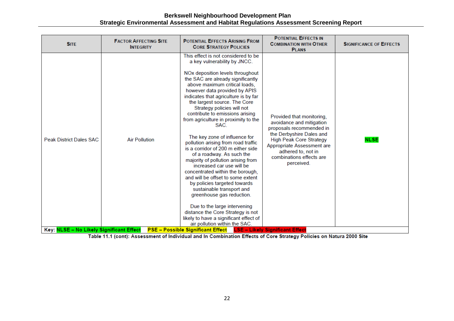| <b>SITE</b>                              | <b>FACTOR AFFECTING SITE</b><br><b>INTEGRITY</b> | <b>POTENTIAL EFFECTS ARISING FROM</b><br><b>CORE STRATEGY POLICIES</b>                                                                                                                                                                                                                                                                                                                                                                                                                                                                                                                                                                                                                                                                                                                                                                                                                                                                   | <b>POTENTIAL EFFECTS IN</b><br><b>COMBINATION WITH OTHER</b><br><b>PLANS</b>                                                                                                                                                                  | <b>SIGNIFICANCE OF EFFECTS</b> |
|------------------------------------------|--------------------------------------------------|------------------------------------------------------------------------------------------------------------------------------------------------------------------------------------------------------------------------------------------------------------------------------------------------------------------------------------------------------------------------------------------------------------------------------------------------------------------------------------------------------------------------------------------------------------------------------------------------------------------------------------------------------------------------------------------------------------------------------------------------------------------------------------------------------------------------------------------------------------------------------------------------------------------------------------------|-----------------------------------------------------------------------------------------------------------------------------------------------------------------------------------------------------------------------------------------------|--------------------------------|
| <b>Peak District Dales SAC</b>           | <b>Air Pollution</b>                             | This effect is not considered to be<br>a key vulnerability by JNCC.<br>NOx deposition levels throughout<br>the SAC are already significantly<br>above maximum critical loads,<br>however data provided by APIS<br>indicates that agriculture is by far<br>the largest source. The Core<br>Strategy policies will not<br>contribute to emissions arising<br>from agriculture in proximity to the<br>SAC.<br>The key zone of influence for<br>pollution arising from road traffic<br>is a corridor of 200 m either side<br>of a roadway. As such the<br>majority of pollution arising from<br>increased car use will be<br>concentrated within the borough,<br>and will be offset to some extent<br>by policies targeted towards<br>sustainable transport and<br>greenhouse gas reduction.<br>Due to the large intervening<br>distance the Core Strategy is not<br>likely to have a significant effect of<br>air pollution within the SAC. | Provided that monitoring,<br>avoidance and mitigation<br>proposals recommended in<br>the Derbyshire Dales and<br><b>High Peak Core Strategy</b><br>Appropriate Assessment are<br>adhered to, not in<br>combinations effects are<br>perceived. | <b>NLSE</b>                    |
| Key: NLSE - No Likely Significant Effect |                                                  | <b>PSE – Possible Significant Effect</b>                                                                                                                                                                                                                                                                                                                                                                                                                                                                                                                                                                                                                                                                                                                                                                                                                                                                                                 | <b>LSE - Likely Significant Effect</b>                                                                                                                                                                                                        |                                |

Table 11.1 (cont): Assessment of Individual and In Combination Effects of Core Strategy Policies on Natura 2000 Site